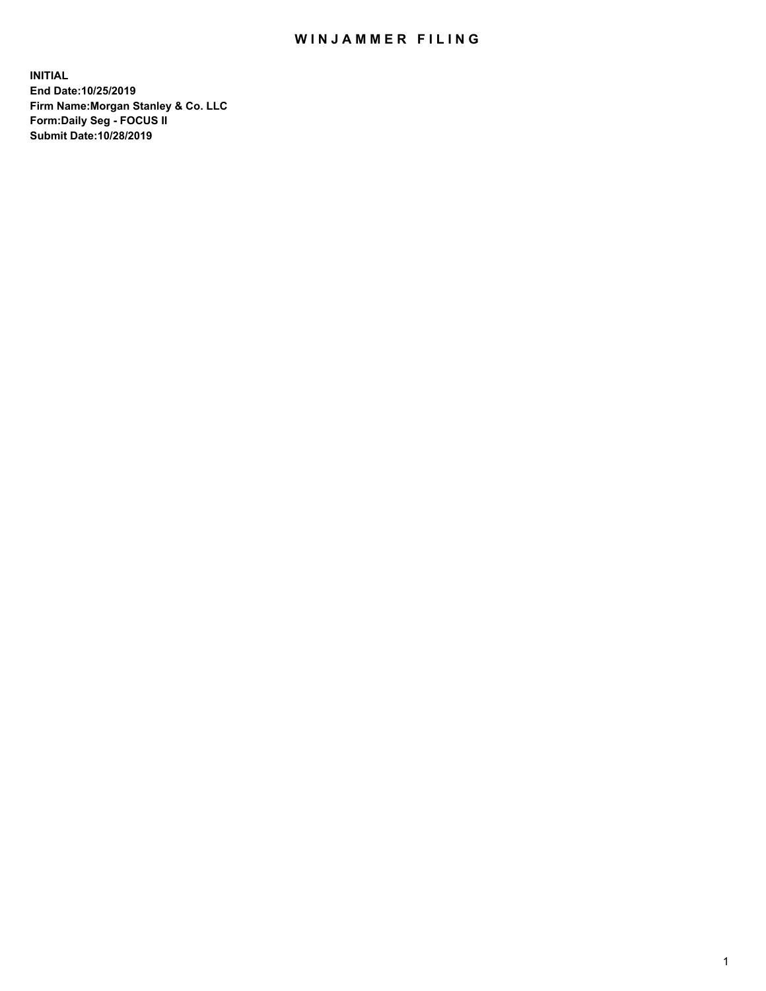## WIN JAMMER FILING

**INITIAL End Date:10/25/2019 Firm Name:Morgan Stanley & Co. LLC Form:Daily Seg - FOCUS II Submit Date:10/28/2019**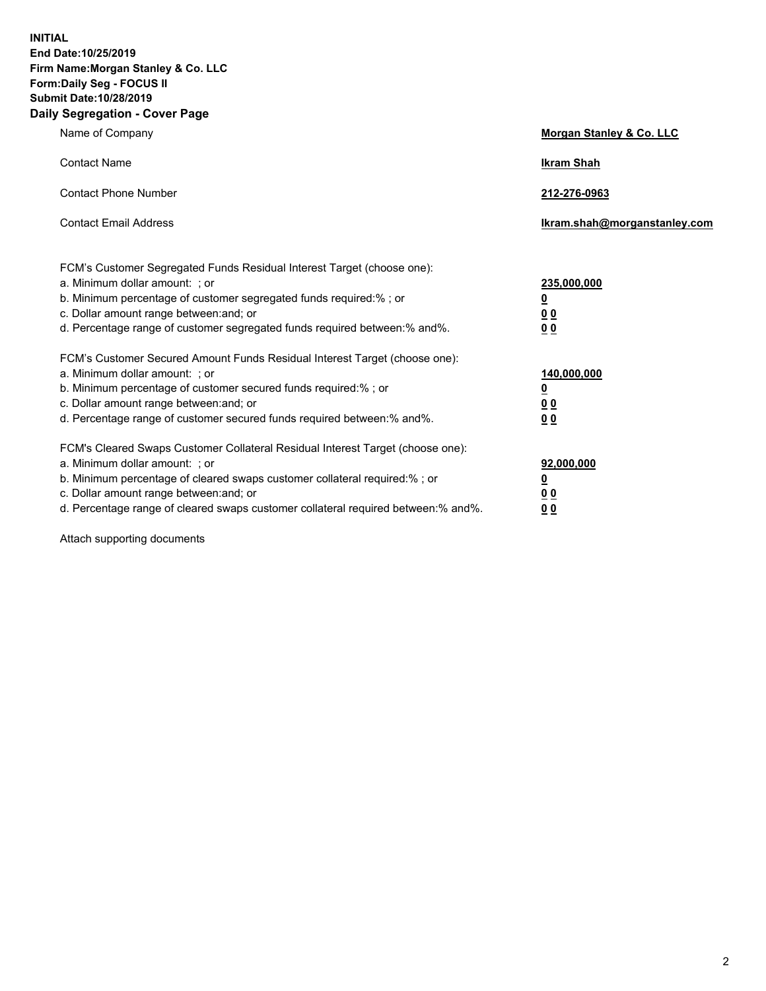**INITIAL End Date:10/25/2019 Firm Name:Morgan Stanley & Co. LLC Form:Daily Seg - FOCUS II Submit Date:10/28/2019 Daily Segregation - Cover Page**

| Name of Company                                                                   | Morgan Stanley & Co. LLC     |
|-----------------------------------------------------------------------------------|------------------------------|
| <b>Contact Name</b>                                                               | <b>Ikram Shah</b>            |
| <b>Contact Phone Number</b>                                                       | 212-276-0963                 |
| <b>Contact Email Address</b>                                                      | Ikram.shah@morganstanley.com |
| FCM's Customer Segregated Funds Residual Interest Target (choose one):            |                              |
| a. Minimum dollar amount: ; or                                                    | 235,000,000                  |
| b. Minimum percentage of customer segregated funds required:% ; or                | <u>0</u>                     |
| c. Dollar amount range between: and; or                                           | 0 <sub>0</sub>               |
| d. Percentage range of customer segregated funds required between: % and %.       | 0 <sub>0</sub>               |
| FCM's Customer Secured Amount Funds Residual Interest Target (choose one):        |                              |
| a. Minimum dollar amount: ; or                                                    | 140,000,000                  |
| b. Minimum percentage of customer secured funds required:%; or                    | <u>0</u>                     |
| c. Dollar amount range between: and; or                                           | <u>00</u>                    |
| d. Percentage range of customer secured funds required between:% and%.            | 0 <sub>0</sub>               |
| FCM's Cleared Swaps Customer Collateral Residual Interest Target (choose one):    |                              |
| a. Minimum dollar amount: ; or                                                    | 92,000,000                   |
| b. Minimum percentage of cleared swaps customer collateral required:% ; or        | <u>0</u>                     |
| c. Dollar amount range between: and; or                                           | <u>00</u>                    |
| d. Percentage range of cleared swaps customer collateral required between:% and%. | 00                           |

Attach supporting documents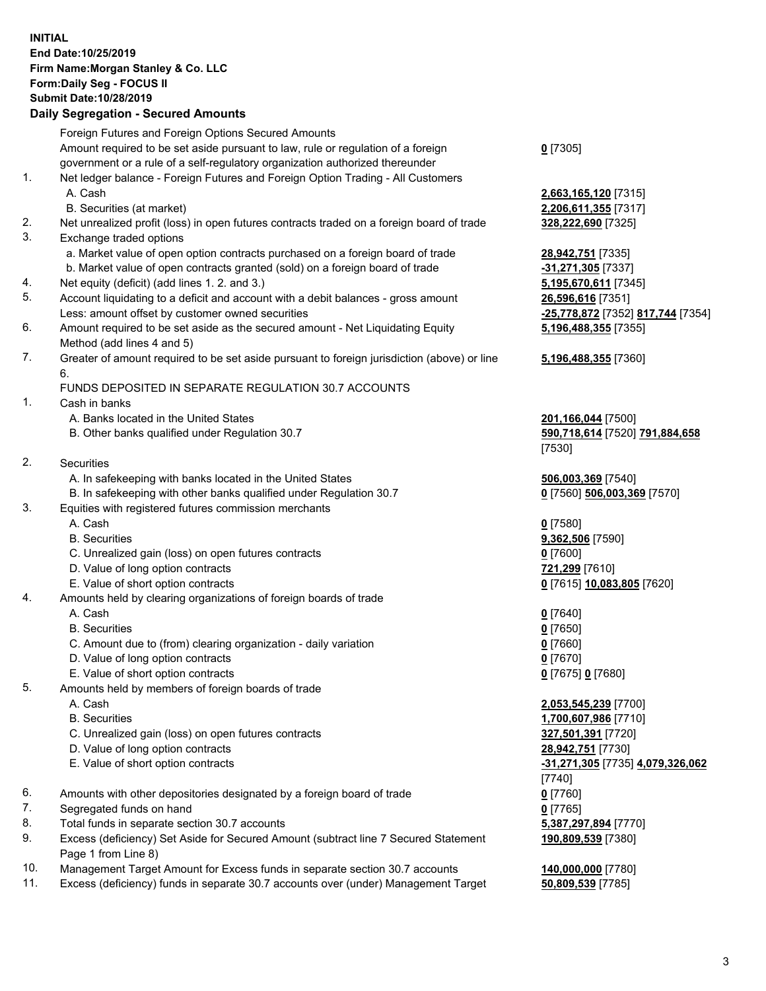## **INITIAL End Date:10/25/2019 Firm Name:Morgan Stanley & Co. LLC Form:Daily Seg - FOCUS II Submit Date:10/28/2019**

## **Daily Segregation - Secured Amounts**

|                               | Foreign Futures and Foreign Options Secured Amounts                                         |                                   |
|-------------------------------|---------------------------------------------------------------------------------------------|-----------------------------------|
|                               | Amount required to be set aside pursuant to law, rule or regulation of a foreign            | $0$ [7305]                        |
|                               | government or a rule of a self-regulatory organization authorized thereunder                |                                   |
| 1.                            | Net ledger balance - Foreign Futures and Foreign Option Trading - All Customers             |                                   |
|                               | A. Cash                                                                                     | 2,663,165,120 [7315]              |
|                               | B. Securities (at market)                                                                   | 2,206,611,355 [7317]              |
| 2.                            | Net unrealized profit (loss) in open futures contracts traded on a foreign board of trade   | 328,222,690 [7325]                |
| 3.                            | Exchange traded options                                                                     |                                   |
|                               | a. Market value of open option contracts purchased on a foreign board of trade              | 28,942,751 [7335]                 |
|                               | b. Market value of open contracts granted (sold) on a foreign board of trade                | -31,271,305 [7337]                |
| 4.                            | Net equity (deficit) (add lines 1.2. and 3.)                                                | 5,195,670,611 [7345]              |
| 5.                            | Account liquidating to a deficit and account with a debit balances - gross amount           | 26,596,616 [7351]                 |
|                               | Less: amount offset by customer owned securities                                            | -25,778,872 [7352] 817,744 [7354] |
| 6.                            | Amount required to be set aside as the secured amount - Net Liquidating Equity              | 5,196,488,355 [7355]              |
|                               | Method (add lines 4 and 5)                                                                  |                                   |
| 7.                            | Greater of amount required to be set aside pursuant to foreign jurisdiction (above) or line | 5,196,488,355 [7360]              |
|                               | 6.                                                                                          |                                   |
|                               | FUNDS DEPOSITED IN SEPARATE REGULATION 30.7 ACCOUNTS                                        |                                   |
| 1.                            | Cash in banks                                                                               |                                   |
|                               | A. Banks located in the United States                                                       | 201,166,044 [7500]                |
|                               | B. Other banks qualified under Regulation 30.7                                              | 590,718,614 [7520] 791,884,658    |
|                               |                                                                                             | [7530]                            |
| 2.                            | Securities                                                                                  |                                   |
|                               | A. In safekeeping with banks located in the United States                                   | 506,003,369 [7540]                |
|                               | B. In safekeeping with other banks qualified under Regulation 30.7                          | 0 [7560] 506,003,369 [7570]       |
| 3.                            | Equities with registered futures commission merchants                                       |                                   |
|                               | A. Cash                                                                                     | $0$ [7580]                        |
|                               | <b>B.</b> Securities                                                                        | 9,362,506 [7590]                  |
|                               | C. Unrealized gain (loss) on open futures contracts                                         | $0$ [7600]                        |
|                               | D. Value of long option contracts                                                           | 721,299 [7610]                    |
|                               | E. Value of short option contracts                                                          | 0 [7615] 10,083,805 [7620]        |
| 4.                            | Amounts held by clearing organizations of foreign boards of trade                           |                                   |
|                               | A. Cash                                                                                     | $0$ [7640]                        |
|                               | <b>B.</b> Securities                                                                        | $0$ [7650]                        |
|                               | C. Amount due to (from) clearing organization - daily variation                             | $0$ [7660]                        |
|                               | D. Value of long option contracts                                                           | $0$ [7670]                        |
|                               | E. Value of short option contracts                                                          | 0 [7675] 0 [7680]                 |
| 5.                            | Amounts held by members of foreign boards of trade                                          |                                   |
|                               | A. Cash                                                                                     | 2,053,545,239 [7700]              |
|                               | <b>B.</b> Securities                                                                        | 1,700,607,986 [7710]              |
|                               | C. Unrealized gain (loss) on open futures contracts                                         | 327,501,391 [7720]                |
|                               | D. Value of long option contracts                                                           | 28,942,751 [7730]                 |
|                               | E. Value of short option contracts                                                          | -31,271,305 [7735] 4,079,326,062  |
|                               |                                                                                             | [7740]                            |
| 6.                            | Amounts with other depositories designated by a foreign board of trade                      | $0$ [7760]                        |
| 7.                            | Segregated funds on hand                                                                    | $0$ [7765]                        |
| 8.                            | Total funds in separate section 30.7 accounts                                               | 5,387,297,894 [7770]              |
| 9.                            | Excess (deficiency) Set Aside for Secured Amount (subtract line 7 Secured Statement         | 190,809,539 [7380]                |
|                               | Page 1 from Line 8)                                                                         |                                   |
| $\overline{A}$ $\overline{A}$ |                                                                                             | 10.0000000077001                  |

- 10. Management Target Amount for Excess funds in separate section 30.7 accounts **140,000,000** [7780]
- 11. Excess (deficiency) funds in separate 30.7 accounts over (under) Management Target **50,809,539** [7785]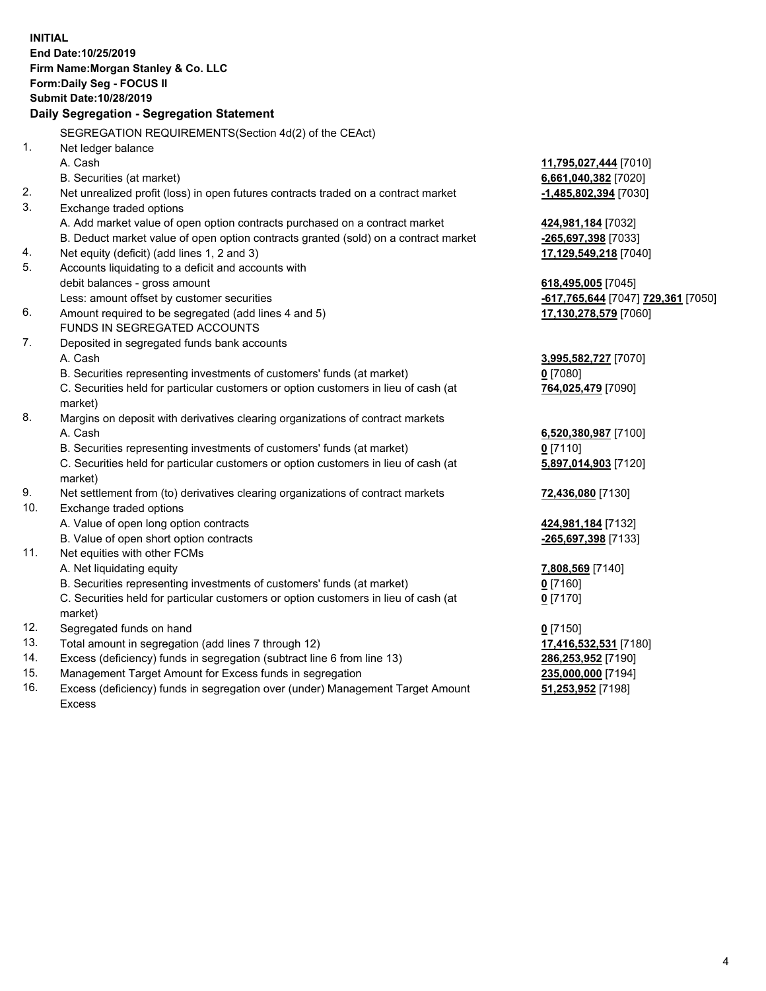|          | <b>INITIAL</b><br>End Date:10/25/2019<br>Firm Name: Morgan Stanley & Co. LLC<br>Form: Daily Seg - FOCUS II<br><b>Submit Date: 10/28/2019</b><br>Daily Segregation - Segregation Statement |                                           |
|----------|-------------------------------------------------------------------------------------------------------------------------------------------------------------------------------------------|-------------------------------------------|
|          |                                                                                                                                                                                           |                                           |
|          | SEGREGATION REQUIREMENTS(Section 4d(2) of the CEAct)                                                                                                                                      |                                           |
| 1.       | Net ledger balance                                                                                                                                                                        |                                           |
|          | A. Cash                                                                                                                                                                                   | 11,795,027,444 [7010]                     |
|          | B. Securities (at market)                                                                                                                                                                 | 6,661,040,382 [7020]                      |
| 2.<br>3. | Net unrealized profit (loss) in open futures contracts traded on a contract market                                                                                                        | -1,485,802,394 [7030]                     |
|          | Exchange traded options                                                                                                                                                                   |                                           |
|          | A. Add market value of open option contracts purchased on a contract market<br>B. Deduct market value of open option contracts granted (sold) on a contract market                        | 424,981,184 [7032]<br>-265,697,398 [7033] |
| 4.       | Net equity (deficit) (add lines 1, 2 and 3)                                                                                                                                               | 17,129,549,218 [7040]                     |
| 5.       | Accounts liquidating to a deficit and accounts with                                                                                                                                       |                                           |
|          | debit balances - gross amount                                                                                                                                                             | 618,495,005 [7045]                        |
|          | Less: amount offset by customer securities                                                                                                                                                | -617,765,644 [7047] 729,361 [7050]        |
| 6.       | Amount required to be segregated (add lines 4 and 5)                                                                                                                                      | 17,130,278,579 [7060]                     |
|          | FUNDS IN SEGREGATED ACCOUNTS                                                                                                                                                              |                                           |
| 7.       | Deposited in segregated funds bank accounts                                                                                                                                               |                                           |
|          | A. Cash                                                                                                                                                                                   | 3,995,582,727 [7070]                      |
|          | B. Securities representing investments of customers' funds (at market)                                                                                                                    | $0$ [7080]                                |
|          | C. Securities held for particular customers or option customers in lieu of cash (at                                                                                                       | 764,025,479 [7090]                        |
|          | market)                                                                                                                                                                                   |                                           |
| 8.       | Margins on deposit with derivatives clearing organizations of contract markets                                                                                                            |                                           |
|          | A. Cash                                                                                                                                                                                   | 6,520,380,987 [7100]                      |
|          | B. Securities representing investments of customers' funds (at market)                                                                                                                    | $0$ [7110]                                |
|          | C. Securities held for particular customers or option customers in lieu of cash (at                                                                                                       | 5,897,014,903 [7120]                      |
|          | market)                                                                                                                                                                                   |                                           |
| 9.       | Net settlement from (to) derivatives clearing organizations of contract markets                                                                                                           | 72,436,080 [7130]                         |
| 10.      | Exchange traded options                                                                                                                                                                   |                                           |
|          | A. Value of open long option contracts                                                                                                                                                    | 424,981,184 [7132]                        |
|          | B. Value of open short option contracts                                                                                                                                                   | -265,697,398 [7133]                       |
| 11.      | Net equities with other FCMs                                                                                                                                                              |                                           |
|          | A. Net liquidating equity                                                                                                                                                                 | 7,808,569 [7140]                          |
|          | B. Securities representing investments of customers' funds (at market)                                                                                                                    | $0$ [7160]                                |
|          | C. Securities held for particular customers or option customers in lieu of cash (at<br>market)                                                                                            | 0 <sup>[7170]</sup>                       |
| 12.      | Segregated funds on hand                                                                                                                                                                  | $0$ [7150]                                |
| 13.      | Total amount in segregation (add lines 7 through 12)                                                                                                                                      | 17,416,532,531 [7180]                     |
| 14.      | Excess (deficiency) funds in segregation (subtract line 6 from line 13)                                                                                                                   | 286,253,952 [7190]                        |
| 15.      | Management Target Amount for Excess funds in segregation                                                                                                                                  | 235,000,000 [7194]                        |
| 16.      | Excess (deficiency) funds in segregation over (under) Management Target Amount                                                                                                            | 51,253,952 [7198]                         |
|          |                                                                                                                                                                                           |                                           |

Excess